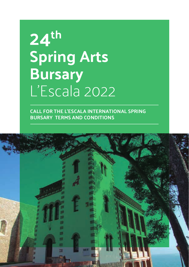## **24th Spring Arts Bursary** L'Escala 2022

**CALL FOR THE L'ESCALA INTERNATIONAL SPRING BURSARY TERMS AND CONDITIONS**

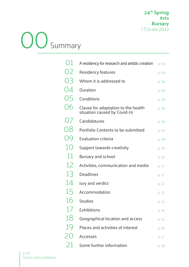# OO Summary

| О1  | A residency for research and artistic creation                      | p. 03 |
|-----|---------------------------------------------------------------------|-------|
| 02  | Residency features                                                  | p. 03 |
| O.3 | Whom it is addressed to                                             | p. 04 |
| U4  | Duration                                                            | p. 04 |
| 05  | Conditions                                                          | p. 05 |
| 06  | Clause for adaptation to the health<br>situation caused by Covid-19 | p. 05 |
| U/  | Candidatures                                                        | p. 06 |
| 08  | Portfolio Contents to be submitted                                  | p. 07 |
| O9  | <b>Evaluation criteria</b>                                          | p. 09 |
| 10  | Support towards creativity                                          | p. 10 |
| 11  | Bursary and school                                                  | p. 10 |
| 12  | Activities, communication and media                                 | p. 11 |
| 13  | <b>Deadlines</b>                                                    | p. 11 |
| 14  | Jury and verdict                                                    | p. 12 |
| 15  | Accommodation                                                       | p. 13 |
| 16  | <b>Studios</b>                                                      | p. 13 |
| 1/  | Exhibitions                                                         | p. 14 |
| 18  | Geographical location and access                                    | p. 15 |
| 19  | Places and activities of interest                                   | p. 16 |
| 20  | <b>Accesses</b>                                                     | p. 17 |
| 21  | Some further information                                            | p. 18 |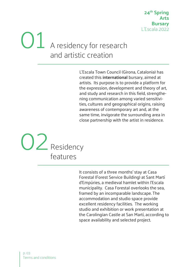### A residency for research and artistic creation 01

L'Escala Town Council (Girona, Catalonia) has created this **international** bursary, aimed at artists. Its purpose is to provide a platform for the expression, development and theory of art, and study and research in this field, strengthening communication among varied sensitivities, cultures and geographical origins, raising awareness of contemporary art and, at the same time, invigorate the surrounding area in close partnership with the artist in residence.



It consists of a three months' stay at Casa Forestal (Forest Service Building) at Sant Martí d'Empúries, a medieval hamlet within l'Escala municipality. Casa Forestal overlooks the sea, framed by an incomparable landscape. The accommodation and studio space provide excellent residency facilities. The working studio and exhibition or work presentation at the Carolingian Castle at San Martí, according to space availability and selected project.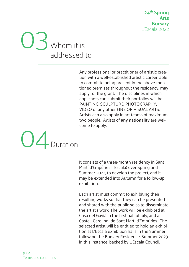**24th Spring Arts Bursary** L'Escala 2022



Any professional or practitioner of artistic creation with a well-established artistic career, able to commit to being present in the above-mentioned premises throughout the residency, may apply for the grant. The disciplines in which applicants can submit their portfolios will be PAINTING, SCULPTURE, PHOTOGRAPHY, VIDEO or any other FINE OR VISUAL ARTS. Artists can also apply in art-teams of maximum two people. Artists of **any nationality** are welcome to apply.



It consists of a three-month residency in Sant Martí d'Empúries (l'Escala) over Spring and Summer 2022, to develop the project, and it may be extended into Autumn for a follow-up exhibition.

Each artist must commit to exhibiting their resulting works so that they can be presented and shared with the public so as to disseminate the artist's work. The work will be exhibited at Casa del Gavià in the first half of July, and at Castell Carolingi de Sant Martí d'Empúries. The selected artist will be entitled to hold an exhibition at L'Escala exhibition halls in the Summer following the Bursary Residence, Summer 2023 in this instance, backed by L'Escala Council.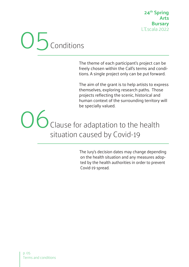## O<sub>b</sub><sub>conditions</sub>

The theme of each participant's project can be freely chosen within the Call's terms and conditions. A single project only can be put forward.

The aim of the grant is to help artists to express themselves, exploring research paths. Those projects reflecting the scenic, historical and human context of the surrounding territory will be specially valued.

06 Clause for adaptation to the health situation caused by Covid-19

> The Jury's decision dates may change depending on the health situation and any measures adopted by the health authorities in order to prevent Covid-19 spread.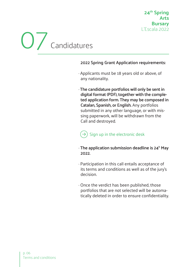# O / Candidatures

#### **2022 Spring Grant Application requirements:**

- · Applicants must be 18 years old or above, of any nationality.
- · **The candidature portfolios will only be sent in digital format (PDF), together with the completed application form. They may be composed in Catalan, Spanish, or English.** Any portfolios submitted in any other language, or with missing paperwork, will be withdrawn from the Call and destroyed.

### $(\rightarrow)$  Sign up in the electronic desk

#### · **The application submission deadline is 24h May 2022.**

- · Participation in this call entails acceptance of its terms and conditions as well as of the jury's decision.
- · Once the verdict has been published, those portfolios that are not selected will be automatically deleted in order to ensure confidentiality.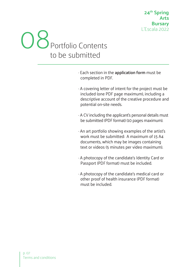

- · Each section in the **application form** must be completed in PDF.
- · A covering letter of intent for the project must be included (one PDF page maximum), including a descriptive account of the creative procedure and potential on-site needs.
- · A CV including the applicant's personal details must be submitted (PDF format) (10 pages maximum).
- · An art portfolio showing examples of the artist's work must be submitted: A maximum of 15 A4 documents, which may be images containing text or videos (5 minutes per video maximum).
- · A photocopy of the candidate's Identity Card or Passport (PDF format) must be included.
- · A photocopy of the candidate's medical card or other proof of health insurance (PDF format) must be included.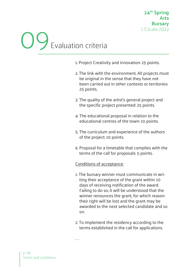# 09Evaluation criteria

- 1. Project Creativity and innovation: 25 points.
- 2. The link with the environment. All projects must be original in the sense that they have not been carried out in other contexts or territories: 25 points.
- 3. The quality of the artist's general project and the specific project presented: 25 points.
- 4. The educational proposal in relation to the educational centres of the town: 10 points.
- 5. The curriculum and experience of the authors of the project: 10 points.
- 6. Proposal for a timetable that complies with the terms of the call for proposals: 5 points.

#### Conditions of acceptance:

. . .

- 1. The bursary winner must communicate in writing their acceptance of the grant within 10 days of receiving notification of the award. Failing to do so, it will be understood that the winner renounces the grant, for which reason their right will be lost and the grant may be awarded to the next selected candidate and so on.
- 2. To implement the residency according to the terms established in the call for applications.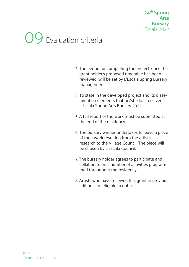### Evaluation criteria

. . .

3. The period for completing the project, once the grant holder's proposed timetable has been reviewed, will be set by L'Escala Spring Bursary management.

- 4. To state in the developed project and its dissemination elements that he/she has received L'Escala Spring Arts Bursary 2022.
- 5. A full report of the work must be submitted at the end of the residency.
- 6. The bursary winner undertakes to leave a piece of their work resulting from the artistic research to the Village Council. The piece will be chosen by L'Escala Council.
- 7. The bursary holder agrees to participate and collaborate on a number of activities programmed throughout the residency.
- 8. Artists who have received this grant in previous editions are eligible to enter.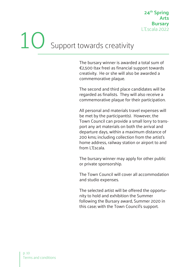# Support towards creativity

The bursary winner is awarded a total sum of €2,500 (tax free) as financial support towards creativity. He or she will also be awarded a commemorative plaque.

The second and third place candidates will be regarded as finalists. They will also receive a commemorative plaque for their participation.

All personal and materials travel expenses will be met by the participant(s). However, the Town Council can provide a small lorry to transport any art materials on both the arrival and departure days, within a maximum distance of 200 kms; including collection from the artist's home address, railway station or airport to and from L'Escala.

The bursary winner may apply for other public or private sponsorship.

The Town Council will cover all accommodation and studio expenses.

The selected artist will be offered the opportunity to hold and exhibition the Summer following the Bursary award, Summer 2020 in this case; with the Town Council's support.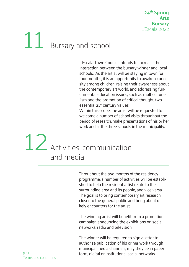# 11 Bursary and school

L'Escala Town Council intends to increase the interaction between the bursary winner and local schools. As the artist will be staying in town for four months, it is an opportunity to awaken curiosity among children, raising their awareness about the contemporary art world, and addressing fundamental education issues, such as multiculturalism and the promotion of critical thought, two essential 21<sup>st</sup> century values.

Within this scope, the artist will be requested to welcome a number of school visits throughout the period of research, make presentations of his or her work and at the three schools in the municipality.

### Activities, communication and media 12

Throughout the two months of the residency programme, a number of activities will be established to help the resident artist relate to the surrounding area and its people, and vice versa. The goal is to bring contemporary art research closer to the general public and bring about unlikely encounters for the artist.

The winning artist will benefit from a promotional campaign announcing the exhibitions on social networks, radio and television.

The winner will be required to sign a letter to authorize publication of his or her work through municipal media channels, may they be in paper form, digital or institutional social networks.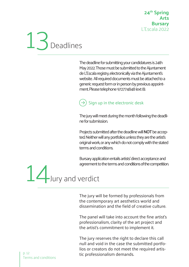

The deadline for submitting your candidatures is 24th May 2022. Those must be submitted to the Ajuntament de L'Escala registry, electronically via the Ajuntament's website. All required documents must be attached to a generic request form or in person by previous appointment. Please telephone 972774848 (ext 8).

### $(\rightarrow)$  Sign up in the electronic desk

The jury will meet during the month following the deadline for submission.

Projects submitted after the deadline will **NOT** be accepted. Neither will any portfolios unless they are the artist's original work, or any which do not comply with the stated terms and conditions.

Bursary application entails artists' direct acceptance and agreement to the terms and conditions of the competition.

14Jury and verdict

The jury will be formed by professionals from the contemporary art aesthetics world and dissemination and the field of creative culture.

The panel will take into account the fine artist's professionalism, clarity of the art project and the artist's commitment to implement it.

The jury reserves the right to declare this call null and void in the case the submitted portfolios or creators do not meet the required artistic professionalism demands.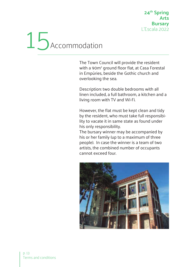## 15<br>Accommodation

The Town Council will provide the resident with a 90m<sup>2</sup> ground floor flat, at Casa Forestal in Empúries, beside the Gothic church and overlooking the sea.

Description: two double bedrooms with all linen included, a full bathroom, a kitchen and a living room with TV and Wi-Fi.

However, the flat must be kept clean and tidy by the resident, who must take full responsibility to vacate it in same state as found under his only responsibility.

The bursary winner may be accompanied by his or her family (up to a maximum of three people). In case the winner is a team of two artists, the combined number of occupants cannot exceed four.

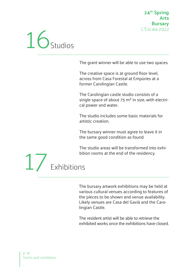

The grant winner will be able to use two spaces.

The creative space is at ground floor level, across from Casa Forestal at Empúries at a former Carolingian Castle.

The Carolingian castle studio consists of a single space of about 75  $m<sup>2</sup>$  in size, with electrical power and water.

The studio includes some basic materials for artistic creation.

The bursary winner must agree to leave it in the same good condition as found.

The studio areas will be transformed into exhibition rooms at the end of the residency.

17 Exhibitions

The bursary artwork exhibitions may be held at various cultural venues according to features of the pieces to be shown and venue availability. Likely venues are Casa del Gavià and the Carolingian Castle.

The resident artist will be able to retrieve the exhibited works once the exhibitions have closed.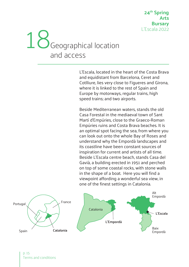### Geographical location and access 18

L'Escala, located in the heart of the Costa Brava and equidistant from Barcelona, Ceret and Cotlliure, lies very close to Figueres and Girona, where it is linked to the rest of Spain and Europe by motorways, regular trains, high speed trains; and two airports.

Beside Mediterranean waters, stands the old Casa Forestal in the mediaeval town of Sant Martí d'Empúries, close to the Graeco-Roman Empúries ruins and Costa Brava beaches. It is an optimal spot facing the sea, from where you can look out onto the whole Bay of Roses and understand why the Empordà landscapes and its coastline have been constant sources of inspiration for current and artists of all time. Beside L'Escala centre beach, stands Casa del Gavià, a building erected in 1951 and perched on top of some coastal rocks, with stone walls in the shape of a boat. Here you will find a viewpoint affording a wonderful sea view, in one of the finest settings in Catalonia.

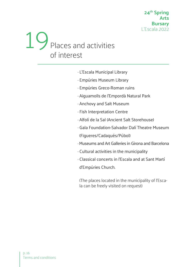### Places and activities of interest 19

- · L'Escala Municipal Library
- · Empúries Museum Library
- · Empúries Greco-Roman ruins
- · Aiguamolls de l'Empordà Natural Park
- · Anchovy and Salt Museum
- · Fish Interpretation Centre
- · Alfolí de la Sal (Ancient Salt Storehouse)
- · Gala Foundation-Salvador Dalí Theatre Museum (Figueres/Cadaqués/Púbol)
- · Museums and Art Galleries in Girona and Barcelona
- · Cultural activities in the municipality
- · Classical concerts in l'Escala and at Sant Martí d'Empúries Church.

(The places located in the municipality of l'Escala can be freely visited on request)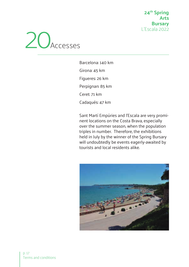**24th Spring Arts Bursary** L'Escala 2022



Barcelona: 140 km Girona: 45 km Figueres: 26 km Perpignan: 85 km Ceret: 71 km Cadaqués: 47 km

Sant Martí Empúries and l'Escala are very prominent locations on the Costa Brava, especially over the summer season, when the population triples in number. Therefore, the exhibitions held in July by the winner of the Spring Bursary will undoubtedly be events eagerly-awaited by tourists and local residents alike.

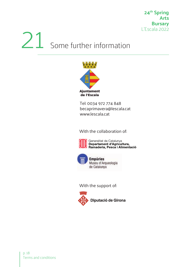# 21 Some further information



Tel: 0034 972 774 848 becaprimavera@lescala.cat www.lescala.cat

With the collaboration of:



Generalitat de Catalunya<br>**Departament d'Agricultura,** Ramaderia, Pesca i Alimentació



With the support of: